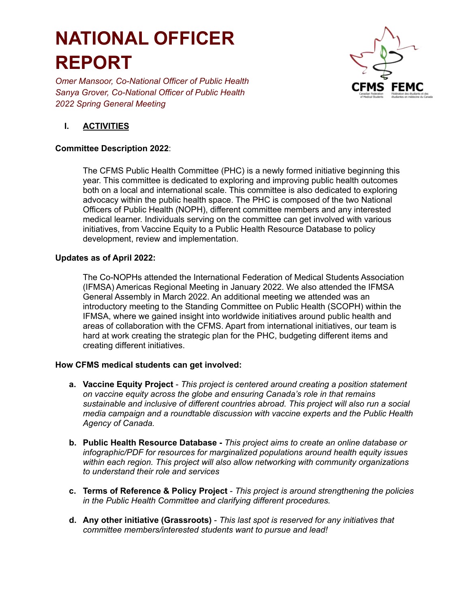## **NATIONAL OFFICER REPORT**

*Omer Mansoor, Co-National Officer of Public Health Sanya Grover, Co-National Officer of Public Health 2022 Spring General Meeting*



### **I. ACTIVITIES**

#### **Committee Description 2022**:

The CFMS Public Health Committee (PHC) is a newly formed initiative beginning this year. This committee is dedicated to exploring and improving public health outcomes both on a local and international scale. This committee is also dedicated to exploring advocacy within the public health space. The PHC is composed of the two National Officers of Public Health (NOPH), different committee members and any interested medical learner. Individuals serving on the committee can get involved with various initiatives, from Vaccine Equity to a Public Health Resource Database to policy development, review and implementation.

#### **Updates as of April 2022:**

The Co-NOPHs attended the International Federation of Medical Students Association (IFMSA) Americas Regional Meeting in January 2022. We also attended the IFMSA General Assembly in March 2022. An additional meeting we attended was an introductory meeting to the Standing Committee on Public Health (SCOPH) within the IFMSA, where we gained insight into worldwide initiatives around public health and areas of collaboration with the CFMS. Apart from international initiatives, our team is hard at work creating the strategic plan for the PHC, budgeting different items and creating different initiatives.

#### **How CFMS medical students can get involved:**

- **a. Vaccine Equity Project** *This project is centered around creating a position statement on vaccine equity across the globe and ensuring Canada's role in that remains sustainable and inclusive of different countries abroad. This project will also run a social media campaign and a roundtable discussion with vaccine experts and the Public Health Agency of Canada.*
- **b. Public Health Resource Database -** *This project aims to create an online database or infographic/PDF for resources for marginalized populations around health equity issues within each region. This project will also allow networking with community organizations to understand their role and services*
- **c. Terms of Reference & Policy Project** *This project is around strengthening the policies in the Public Health Committee and clarifying different procedures.*
- **d. Any other initiative (Grassroots)** *This last spot is reserved for any initiatives that committee members/interested students want to pursue and lead!*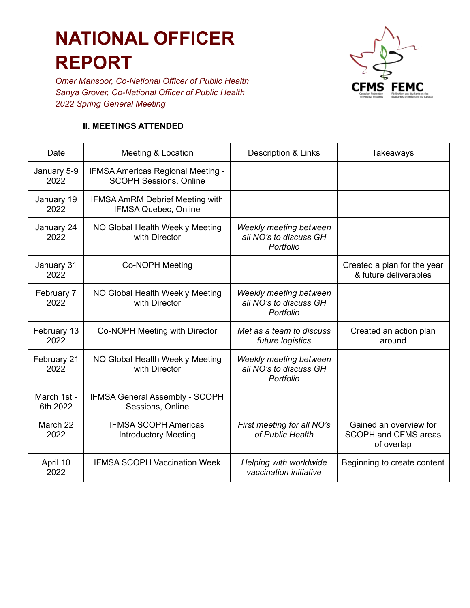# **NATIONAL OFFICER REPORT**

*Omer Mansoor, Co-National Officer of Public Health Sanya Grover, Co-National Officer of Public Health 2022 Spring General Meeting*



#### **II. MEETINGS ATTENDED**

| Date                    | Meeting & Location                                                    | Description & Links                                           | Takeaways                                                           |
|-------------------------|-----------------------------------------------------------------------|---------------------------------------------------------------|---------------------------------------------------------------------|
| January 5-9<br>2022     | IFMSA Americas Regional Meeting -<br><b>SCOPH Sessions, Online</b>    |                                                               |                                                                     |
| January 19<br>2022      | <b>IFMSA AmRM Debrief Meeting with</b><br><b>IFMSA Quebec, Online</b> |                                                               |                                                                     |
| January 24<br>2022      | NO Global Health Weekly Meeting<br>with Director                      | Weekly meeting between<br>all NO's to discuss GH<br>Portfolio |                                                                     |
| January 31<br>2022      | Co-NOPH Meeting                                                       |                                                               | Created a plan for the year<br>& future deliverables                |
| February 7<br>2022      | NO Global Health Weekly Meeting<br>with Director                      | Weekly meeting between<br>all NO's to discuss GH<br>Portfolio |                                                                     |
| February 13<br>2022     | Co-NOPH Meeting with Director                                         | Met as a team to discuss<br>future logistics                  | Created an action plan<br>around                                    |
| February 21<br>2022     | NO Global Health Weekly Meeting<br>with Director                      | Weekly meeting between<br>all NO's to discuss GH<br>Portfolio |                                                                     |
| March 1st -<br>6th 2022 | <b>IFMSA General Assembly - SCOPH</b><br>Sessions, Online             |                                                               |                                                                     |
| March 22<br>2022        | <b>IFMSA SCOPH Americas</b><br><b>Introductory Meeting</b>            | First meeting for all NO's<br>of Public Health                | Gained an overview for<br><b>SCOPH and CFMS areas</b><br>of overlap |
| April 10<br>2022        | <b>IFMSA SCOPH Vaccination Week</b>                                   | Helping with worldwide<br>vaccination initiative              | Beginning to create content                                         |